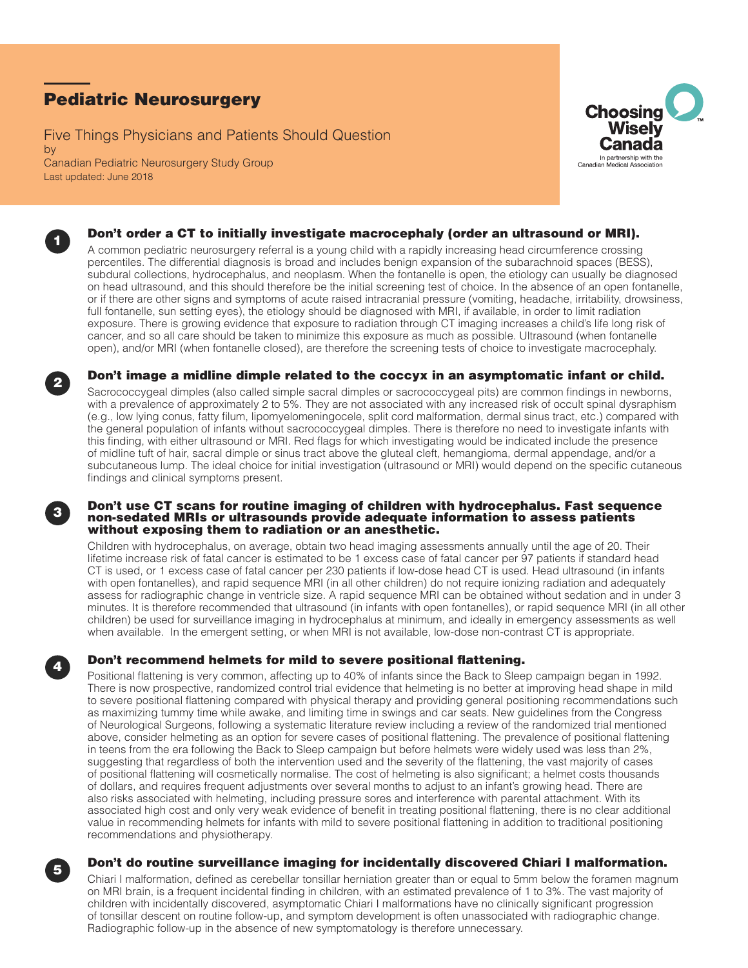# Pediatric Neurosurgery

Five Things Physicians and Patients Should Question by Canadian Pediatric Neurosurgery Study Group Last updated: June 2018





## Don't order a CT to initially investigate macrocephaly (order an ultrasound or MRI).

A common pediatric neurosurgery referral is a young child with a rapidly increasing head circumference crossing percentiles. The differential diagnosis is broad and includes benign expansion of the subarachnoid spaces (BESS), subdural collections, hydrocephalus, and neoplasm. When the fontanelle is open, the etiology can usually be diagnosed on head ultrasound, and this should therefore be the initial screening test of choice. In the absence of an open fontanelle, or if there are other signs and symptoms of acute raised intracranial pressure (vomiting, headache, irritability, drowsiness, full fontanelle, sun setting eyes), the etiology should be diagnosed with MRI, if available, in order to limit radiation exposure. There is growing evidence that exposure to radiation through CT imaging increases a child's life long risk of cancer, and so all care should be taken to minimize this exposure as much as possible. Ultrasound (when fontanelle open), and/or MRI (when fontanelle closed), are therefore the screening tests of choice to investigate macrocephaly.



## <sup>2</sup> Don't image a midline dimple related to the coccyx in an asymptomatic infant or child.

Sacrococcygeal dimples (also called simple sacral dimples or sacrococcygeal pits) are common findings in newborns, with a prevalence of approximately 2 to 5%. They are not associated with any increased risk of occult spinal dysraphism (e.g., low lying conus, fatty filum, lipomyelomeningocele, split cord malformation, dermal sinus tract, etc.) compared with the general population of infants without sacrococcygeal dimples. There is therefore no need to investigate infants with this finding, with either ultrasound or MRI. Red flags for which investigating would be indicated include the presence of midline tuft of hair, sacral dimple or sinus tract above the gluteal cleft, hemangioma, dermal appendage, and/or a subcutaneous lump. The ideal choice for initial investigation (ultrasound or MRI) would depend on the specific cutaneous findings and clinical symptoms present.

### Don't use CT scans for routine imaging of children with hydrocephalus. Fast sequence non-sedated MRIs or ultrasounds provide adequate information to assess patients without exposing them to radiation or an anesthetic.

Children with hydrocephalus, on average, obtain two head imaging assessments annually until the age of 20. Their lifetime increase risk of fatal cancer is estimated to be 1 excess case of fatal cancer per 97 patients if standard head CT is used, or 1 excess case of fatal cancer per 230 patients if low-dose head CT is used. Head ultrasound (in infants with open fontanelles), and rapid sequence MRI (in all other children) do not require ionizing radiation and adequately assess for radiographic change in ventricle size. A rapid sequence MRI can be obtained without sedation and in under 3 minutes. It is therefore recommended that ultrasound (in infants with open fontanelles), or rapid sequence MRI (in all other children) be used for surveillance imaging in hydrocephalus at minimum, and ideally in emergency assessments as well when available. In the emergent setting, or when MRI is not available, low-dose non-contrast CT is appropriate.

## Don't recommend helmets for mild to severe positional flattening.

Positional flattening is very common, affecting up to 40% of infants since the Back to Sleep campaign began in 1992. There is now prospective, randomized control trial evidence that helmeting is no better at improving head shape in mild to severe positional flattening compared with physical therapy and providing general positioning recommendations such as maximizing tummy time while awake, and limiting time in swings and car seats. New guidelines from the Congress of Neurological Surgeons, following a systematic literature review including a review of the randomized trial mentioned above, consider helmeting as an option for severe cases of positional flattening. The prevalence of positional flattening in teens from the era following the Back to Sleep campaign but before helmets were widely used was less than 2%, suggesting that regardless of both the intervention used and the severity of the flattening, the vast majority of cases of positional flattening will cosmetically normalise. The cost of helmeting is also significant; a helmet costs thousands of dollars, and requires frequent adjustments over several months to adjust to an infant's growing head. There are also risks associated with helmeting, including pressure sores and interference with parental attachment. With its associated high cost and only very weak evidence of benefit in treating positional flattening, there is no clear additional value in recommending helmets for infants with mild to severe positional flattening in addition to traditional positioning recommendations and physiotherapy.



## <sup>5</sup> Don't do routine surveillance imaging for incidentally discovered Chiari I malformation.

Chiari I malformation, defined as cerebellar tonsillar herniation greater than or equal to 5mm below the foramen magnum on MRI brain, is a frequent incidental finding in children, with an estimated prevalence of 1 to 3%. The vast majority of children with incidentally discovered, asymptomatic Chiari I malformations have no clinically significant progression of tonsillar descent on routine follow-up, and symptom development is often unassociated with radiographic change. Radiographic follow-up in the absence of new symptomatology is therefore unnecessary.